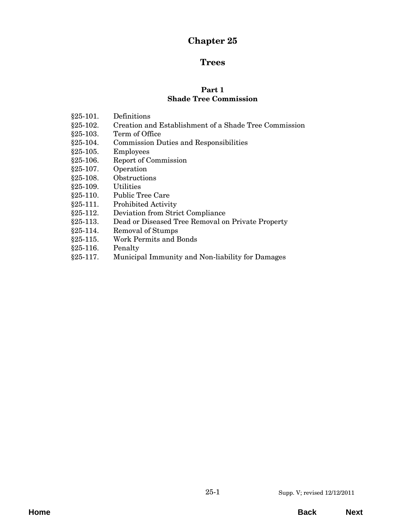# **Chapter 25**

# **Trees**

#### **Part 1 Shade Tree Commission**

- §25-101. Definitions
- [§25-102. Creation and Establishment of a Shade Tree Commission](#page-2-0)
- §25-103. Term of Office
- [§25-104. Commission Duties and Responsibilities](#page-3-0)
- §25-105. Employees
- §25-106. Report of Commission
- §25-107. Operation
- §25-108. Obstructions
- §25-109. Utilities
- §25-110. Public Tree Care
- [§25-111. Prohibited Activity](#page-4-0)
- §25-112. Deviation from Strict Compliance
- [§25-113. Dead or Diseased Tree Removal on Private Property](#page-5-0)
- §25-114. Removal of Stumps
- §25-115. Work Permits and Bonds
- §25-116. Penalty
- [§25-117. Municipal Immunity and Non-liability for Damages](#page-6-0)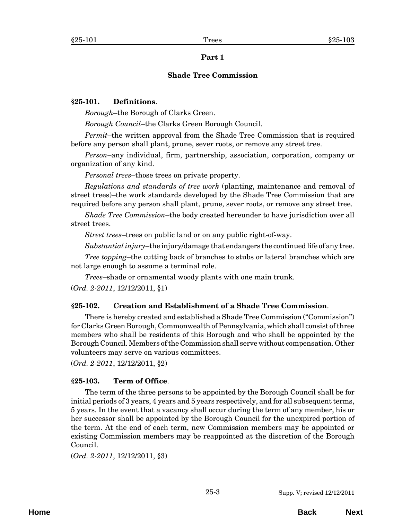## **Part 1**

## **Shade Tree Commission**

## <span id="page-2-0"></span>**§25-101. Definitions**.

*Borough*–the Borough of Clarks Green.

*Borough Council*–the Clarks Green Borough Council.

*Permit*–the written approval from the Shade Tree Commission that is required before any person shall plant, prune, sever roots, or remove any street tree.

*Person*–any individual, firm, partnership, association, corporation, company or organization of any kind.

*Personal trees*–those trees on private property.

*Regulations and standards of tree work* (planting, maintenance and removal of street trees)–the work standards developed by the Shade Tree Commission that are required before any person shall plant, prune, sever roots, or remove any street tree.

*Shade Tree Commission*–the body created hereunder to have jurisdiction over all street trees.

*Street trees*–trees on public land or on any public right-of-way.

*Substantial injury*–the injury/damage that endangers the continued life of any tree.

*Tree topping*–the cutting back of branches to stubs or lateral branches which are not large enough to assume a terminal role.

*Trees*–shade or ornamental woody plants with one main trunk.

(*Ord. 2-2011*, 12/12/2011, §1)

# **§25-102. Creation and Establishment of a Shade Tree Commission**.

There is hereby created and established a Shade Tree Commission ("Commission") for Clarks Green Borough, Commonwealth of Pennsylvania, which shall consist of three members who shall be residents of this Borough and who shall be appointed by the Borough Council. Members of the Commission shall serve without compensation. Other volunteers may serve on various committees.

(*Ord. 2-2011*, 12/12/2011, §2)

# **§25-103. Term of Office**.

The term of the three persons to be appointed by the Borough Council shall be for initial periods of 3 years, 4 years and 5 years respectively, and for all subsequent terms, 5 years. In the event that a vacancy shall occur during the term of any member, his or her successor shall be appointed by the Borough Council for the unexpired portion of the term. At the end of each term, new Commission members may be appointed or existing Commission members may be reappointed at the discretion of the Borough Council.

(*Ord. 2-2011*, 12/12/2011, §3)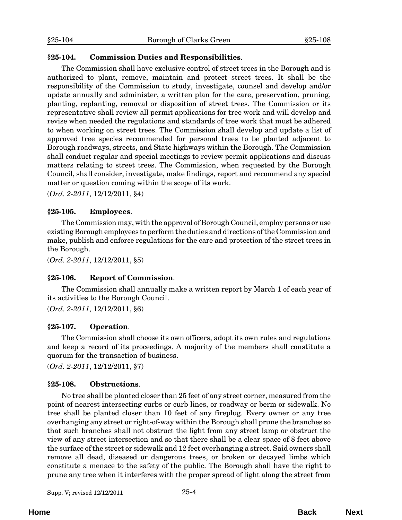## <span id="page-3-0"></span>**§25-104. Commission Duties and Responsibilities**.

The Commission shall have exclusive control of street trees in the Borough and is authorized to plant, remove, maintain and protect street trees. It shall be the responsibility of the Commission to study, investigate, counsel and develop and/or update annually and administer, a written plan for the care, preservation, pruning, planting, replanting, removal or disposition of street trees. The Commission or its representative shall review all permit applications for tree work and will develop and revise when needed the regulations and standards of tree work that must be adhered to when working on street trees. The Commission shall develop and update a list of approved tree species recommended for personal trees to be planted adjacent to Borough roadways, streets, and State highways within the Borough. The Commission shall conduct regular and special meetings to review permit applications and discuss matters relating to street trees. The Commission, when requested by the Borough Council, shall consider, investigate, make findings, report and recommend any special matter or question coming within the scope of its work.

(*Ord. 2-2011*, 12/12/2011, §4)

#### **§25-105. Employees**.

The Commission may, with the approval of Borough Council, employ persons or use existing Borough employees to perform the duties and directions of the Commission and make, publish and enforce regulations for the care and protection of the street trees in the Borough.

(*Ord. 2-2011*, 12/12/2011, §5)

#### **§25-106. Report of Commission**.

The Commission shall annually make a written report by March 1 of each year of its activities to the Borough Council.

(*Ord. 2-2011*, 12/12/2011, §6)

#### **§25-107. Operation**.

The Commission shall choose its own officers, adopt its own rules and regulations and keep a record of its proceedings. A majority of the members shall constitute a quorum for the transaction of business.

(*Ord. 2-2011*, 12/12/2011, §7)

#### **§25-108. Obstructions**.

No tree shall be planted closer than 25 feet of any street corner, measured from the point of nearest intersecting curbs or curb lines, or roadway or berm or sidewalk. No tree shall be planted closer than 10 feet of any fireplug. Every owner or any tree overhanging any street or right-of-way within the Borough shall prune the branches so that such branches shall not obstruct the light from any street lamp or obstruct the view of any street intersection and so that there shall be a clear space of 8 feet above the surface of the street or sidewalk and 12 feet overhanging a street. Said owners shall remove all dead, diseased or dangerous trees, or broken or decayed limbs which constitute a menace to the safety of the public. The Borough shall have the right to prune any tree when it interferes with the proper spread of light along the street from

Supp. V; revised  $12/12/2011$  25-4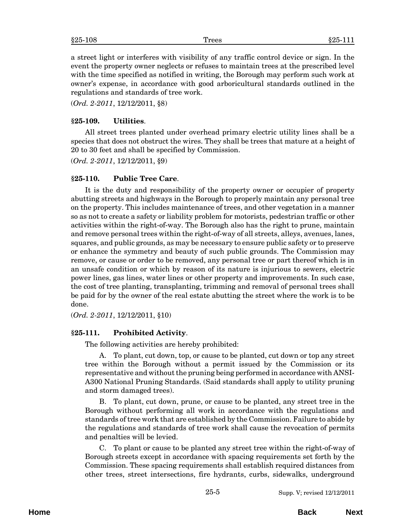<span id="page-4-0"></span>a street light or interferes with visibility of any traffic control device or sign. In the event the property owner neglects or refuses to maintain trees at the prescribed level with the time specified as notified in writing, the Borough may perform such work at owner's expense, in accordance with good arboricultural standards outlined in the regulations and standards of tree work.

(*Ord. 2-2011*, 12/12/2011, §8)

# **§25-109. Utilities**.

All street trees planted under overhead primary electric utility lines shall be a species that does not obstruct the wires. They shall be trees that mature at a height of 20 to 30 feet and shall be specified by Commission.

(*Ord. 2-2011*, 12/12/2011, §9)

# **§25-110. Public Tree Care**.

It is the duty and responsibility of the property owner or occupier of property abutting streets and highways in the Borough to properly maintain any personal tree on the property. This includes maintenance of trees, and other vegetation in a manner so as not to create a safety or liability problem for motorists, pedestrian traffic or other activities within the right-of-way. The Borough also has the right to prune, maintain and remove personal trees within the right-of-way of all streets, alleys, avenues, lanes, squares, and public grounds, as may be necessary to ensure public safety or to preserve or enhance the symmetry and beauty of such public grounds. The Commission may remove, or cause or order to be removed, any personal tree or part thereof which is in an unsafe condition or which by reason of its nature is injurious to sewers, electric power lines, gas lines, water lines or other property and improvements. In such case, the cost of tree planting, transplanting, trimming and removal of personal trees shall be paid for by the owner of the real estate abutting the street where the work is to be done.

(*Ord. 2-2011*, 12/12/2011, §10)

# **§25-111. Prohibited Activity**.

The following activities are hereby prohibited:

A. To plant, cut down, top, or cause to be planted, cut down or top any street tree within the Borough without a permit issued by the Commission or its representative and without the pruning being performed in accordance with ANSI-A300 National Pruning Standards. (Said standards shall apply to utility pruning and storm damaged trees).

B. To plant, cut down, prune, or cause to be planted, any street tree in the Borough without performing all work in accordance with the regulations and standards of tree work that are established by the Commission. Failure to abide by the regulations and standards of tree work shall cause the revocation of permits and penalties will be levied.

C. To plant or cause to be planted any street tree within the right-of-way of Borough streets except in accordance with spacing requirements set forth by the Commission. These spacing requirements shall establish required distances from other trees, street intersections, fire hydrants, curbs, sidewalks, underground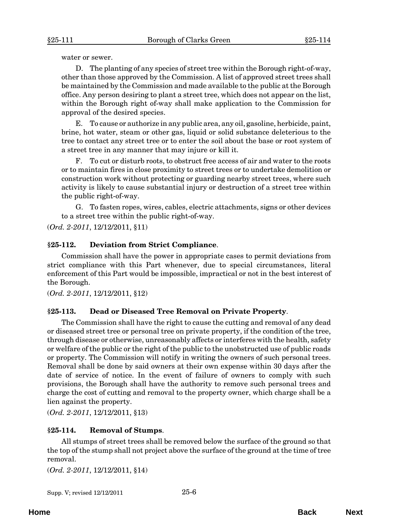<span id="page-5-0"></span>water or sewer.

D. The planting of any species of street tree within the Borough right-of-way, other than those approved by the Commission. A list of approved street trees shall be maintained by the Commission and made available to the public at the Borough office. Any person desiring to plant a street tree, which does not appear on the list, within the Borough right of-way shall make application to the Commission for approval of the desired species.

E. To cause or authorize in any public area, any oil, gasoline, herbicide, paint, brine, hot water, steam or other gas, liquid or solid substance deleterious to the tree to contact any street tree or to enter the soil about the base or root system of a street tree in any manner that may injure or kill it.

F. To cut or disturb roots, to obstruct free access of air and water to the roots or to maintain fires in close proximity to street trees or to undertake demolition or construction work without protecting or guarding nearby street trees, where such activity is likely to cause substantial injury or destruction of a street tree within the public right-of-way.

G. To fasten ropes, wires, cables, electric attachments, signs or other devices to a street tree within the public right-of-way.

(*Ord. 2-2011*, 12/12/2011, §11)

#### **§25-112. Deviation from Strict Compliance**.

Commission shall have the power in appropriate cases to permit deviations from strict compliance with this Part whenever, due to special circumstances, literal enforcement of this Part would be impossible, impractical or not in the best interest of the Borough.

(*Ord. 2-2011*, 12/12/2011, §12)

#### **§25-113. Dead or Diseased Tree Removal on Private Property**.

The Commission shall have the right to cause the cutting and removal of any dead or diseased street tree or personal tree on private property, if the condition of the tree, through disease or otherwise, unreasonably affects or interferes with the health, safety or welfare of the public or the right of the public to the unobstructed use of public roads or property. The Commission will notify in writing the owners of such personal trees. Removal shall be done by said owners at their own expense within 30 days after the date of service of notice. In the event of failure of owners to comply with such provisions, the Borough shall have the authority to remove such personal trees and charge the cost of cutting and removal to the property owner, which charge shall be a lien against the property.

(*Ord. 2-2011*, 12/12/2011, §13)

#### **§25-114. Removal of Stumps**.

All stumps of street trees shall be removed below the surface of the ground so that the top of the stump shall not project above the surface of the ground at the time of tree removal.

(*Ord. 2-2011*, 12/12/2011, §14)

Supp. V; revised  $12/12/2011$  25-6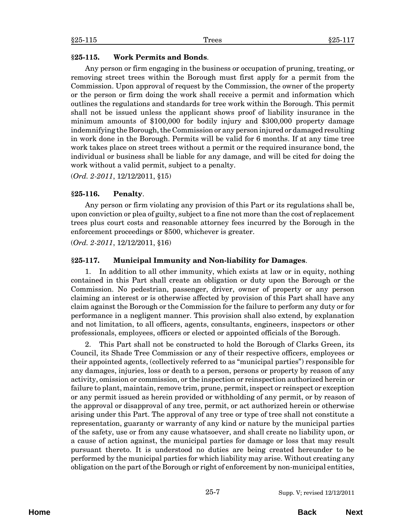## <span id="page-6-0"></span>**§25-115. Work Permits and Bonds**.

Any person or firm engaging in the business or occupation of pruning, treating, or removing street trees within the Borough must first apply for a permit from the Commission. Upon approval of request by the Commission, the owner of the property or the person or firm doing the work shall receive a permit and information which outlines the regulations and standards for tree work within the Borough. This permit shall not be issued unless the applicant shows proof of liability insurance in the minimum amounts of \$100,000 for bodily injury and \$300,000 property damage indemnifying the Borough, the Commission or any person injured or damaged resulting in work done in the Borough. Permits will be valid for 6 months. If at any time tree work takes place on street trees without a permit or the required insurance bond, the individual or business shall be liable for any damage, and will be cited for doing the work without a valid permit, subject to a penalty.

(*Ord. 2-2011*, 12/12/2011, §15)

# **§25-116. Penalty**.

Any person or firm violating any provision of this Part or its regulations shall be, upon conviction or plea of guilty, subject to a fine not more than the cost of replacement trees plus court costs and reasonable attorney fees incurred by the Borough in the enforcement proceedings or \$500, whichever is greater.

(*Ord. 2-2011*, 12/12/2011, §16)

# **§25-117. Municipal Immunity and Non-liability for Damages**.

1. In addition to all other immunity, which exists at law or in equity, nothing contained in this Part shall create an obligation or duty upon the Borough or the Commission. No pedestrian, passenger, driver, owner of property or any person claiming an interest or is otherwise affected by provision of this Part shall have any claim against the Borough or the Commission for the failure to perform any duty or for performance in a negligent manner. This provision shall also extend, by explanation and not limitation, to all officers, agents, consultants, engineers, inspectors or other professionals, employees, officers or elected or appointed officials of the Borough.

2. This Part shall not be constructed to hold the Borough of Clarks Green, its Council, its Shade Tree Commission or any of their respective officers, employees or their appointed agents, (collectively referred to as "municipal parties") responsible for any damages, injuries, loss or death to a person, persons or property by reason of any activity, omission or commission, or the inspection or reinspection authorized herein or failure to plant, maintain, remove trim, prune, permit, inspect or reinspect or exception or any permit issued as herein provided or withholding of any permit, or by reason of the approval or disapproval of any tree, permit, or act authorized herein or otherwise arising under this Part. The approval of any tree or type of tree shall not constitute a representation, guaranty or warranty of any kind or nature by the municipal parties of the safety, use or from any cause whatsoever, and shall create no liability upon, or a cause of action against, the municipal parties for damage or loss that may result pursuant thereto. It is understood no duties are being created hereunder to be performed by the municipal parties for which liability may arise. Without creating any obligation on the part of the Borough or right of enforcement by non-municipal entities,